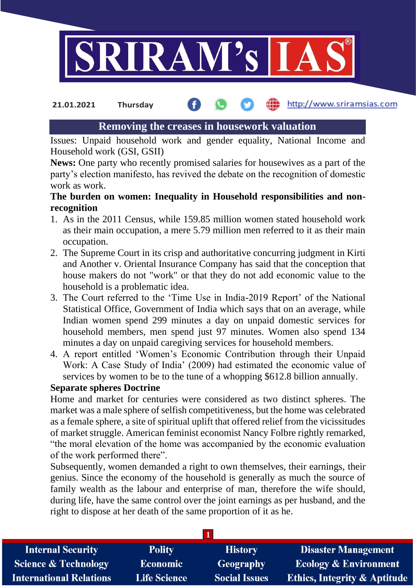

http://www.sriramsias.com **21.01.2021 Thursday**

# **Removing the creases in housework valuation**

Issues: Unpaid household work and gender equality, National Income and Household work (GSI, GSII)

**News:** One party who recently promised salaries for housewives as a part of the party's election manifesto, has revived the debate on the recognition of domestic work as work.

## **The burden on women: Inequality in Household responsibilities and nonrecognition**

- 1. As in the 2011 Census, while 159.85 million women stated household work as their main occupation, a mere 5.79 million men referred to it as their main occupation.
- 2. The Supreme Court in its crisp and authoritative concurring judgment in Kirti and Another v. Oriental Insurance Company has said that the conception that house makers do not "work" or that they do not add economic value to the household is a problematic idea.
- 3. The Court referred to the 'Time Use in India-2019 Report' of the National Statistical Office, Government of India which says that on an average, while Indian women spend 299 minutes a day on unpaid domestic services for household members, men spend just 97 minutes. Women also spend 134 minutes a day on unpaid caregiving services for household members.
- 4. A report entitled 'Women's Economic Contribution through their Unpaid Work: A Case Study of India' (2009) had estimated the economic value of services by women to be to the tune of a whopping \$612.8 billion annually.

### **Separate spheres Doctrine**

Home and market for centuries were considered as two distinct spheres. The market was a male sphere of selfish competitiveness, but the home was celebrated as a female sphere, a site of spiritual uplift that offered relief from the vicissitudes of market struggle. American feminist economist Nancy Folbre rightly remarked, "the moral elevation of the home was accompanied by the economic evaluation of the work performed there".

Subsequently, women demanded a right to own themselves, their earnings, their genius. Since the economy of the household is generally as much the source of family wealth as the labour and enterprise of man, therefore the wife should, during life, have the same control over the joint earnings as per husband, and the right to dispose at her death of the same proportion of it as he.

| <b>Internal Security</b>        | <b>Polity</b>       | <b>History</b>       | <b>Disaster Management</b>              |
|---------------------------------|---------------------|----------------------|-----------------------------------------|
| <b>Science &amp; Technology</b> | Economic            | Geography            | Ecology & Environment                   |
| <b>International Relations</b>  | <b>Life Science</b> | <b>Social Issues</b> | <b>Ethics, Integrity &amp; Aptitude</b> |